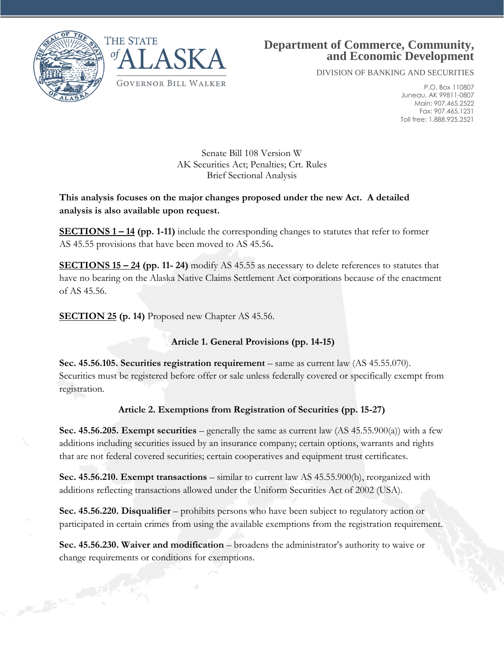

Control of Cancer



# **Department of Commerce, Community, and Economic Development**

DIVISION OF BANKING AND SECURITIES

P.O. Box 110807 Juneau, AK 99811-0807 Main: 907.465.2522 Fax: 907.465.1231 Toll free: 1.888.925.2521

Senate Bill 108 Version W AK Securities Act; Penalties; Crt. Rules Brief Sectional Analysis

**This analysis focuses on the major changes proposed under the new Act. A detailed analysis is also available upon request.**

**SECTIONS 1 – 14 (pp. 1-11)** include the corresponding changes to statutes that refer to former AS 45.55 provisions that have been moved to AS 45.56**.** 

**SECTIONS 15 – 24 (pp. 11- 24)** modify AS 45.55 as necessary to delete references to statutes that have no bearing on the Alaska Native Claims Settlement Act corporations because of the enactment of AS 45.56.

**SECTION 25 (p. 14)** Proposed new Chapter AS 45.56.

**Article 1. General Provisions (pp. 14-15)**

**Sec. 45.56.105. Securities registration requirement** – same as current law (AS 45.55.070). Securities must be registered before offer or sale unless federally covered or specifically exempt from registration.

# **Article 2. Exemptions from Registration of Securities (pp. 15-27)**

**Sec. 45.56.205. Exempt securities** – generally the same as current law  $(AS\ 45.55.900(a))$  with a few additions including securities issued by an insurance company; certain options, warrants and rights that are not federal covered securities; certain cooperatives and equipment trust certificates.

**Sec. 45.56.210. Exempt transactions** – similar to current law AS 45.55.900(b), reorganized with additions reflecting transactions allowed under the Uniform Securities Act of 2002 (USA).

**Sec. 45.56.220. Disqualifier** – prohibits persons who have been subject to regulatory action or participated in certain crimes from using the available exemptions from the registration requirement.

**Sec. 45.56.230. Waiver and modification** – broadens the administrator's authority to waive or change requirements or conditions for exemptions.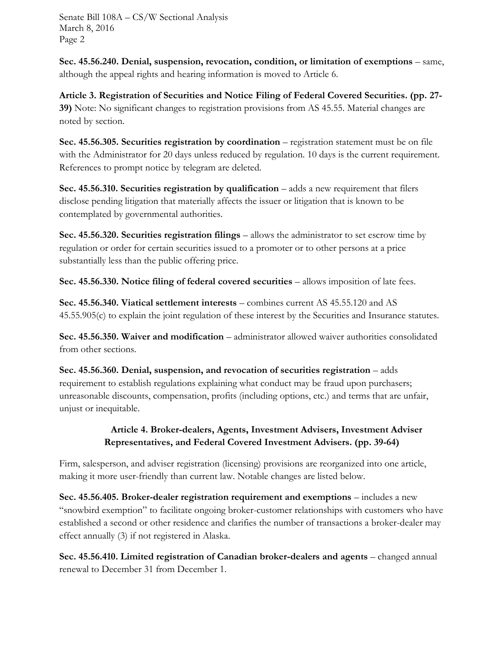**Sec. 45.56.240. Denial, suspension, revocation, condition, or limitation of exemptions** – same, although the appeal rights and hearing information is moved to Article 6.

**Article 3. Registration of Securities and Notice Filing of Federal Covered Securities. (pp. 27- 39)** Note: No significant changes to registration provisions from AS 45.55. Material changes are noted by section.

**Sec. 45.56.305. Securities registration by coordination** – registration statement must be on file with the Administrator for 20 days unless reduced by regulation. 10 days is the current requirement. References to prompt notice by telegram are deleted.

**Sec. 45.56.310. Securities registration by qualification – adds a new requirement that filers** disclose pending litigation that materially affects the issuer or litigation that is known to be contemplated by governmental authorities.

**Sec. 45.56.320. Securities registration filings** – allows the administrator to set escrow time by regulation or order for certain securities issued to a promoter or to other persons at a price substantially less than the public offering price.

**Sec. 45.56.330. Notice filing of federal covered securities** – allows imposition of late fees.

**Sec. 45.56.340. Viatical settlement interests** – combines current AS 45.55.120 and AS 45.55.905(c) to explain the joint regulation of these interest by the Securities and Insurance statutes.

**Sec. 45.56.350. Waiver and modification** – administrator allowed waiver authorities consolidated from other sections.

Sec. 45.56.360. Denial, suspension, and revocation of securities registration – adds requirement to establish regulations explaining what conduct may be fraud upon purchasers; unreasonable discounts, compensation, profits (including options, etc.) and terms that are unfair, unjust or inequitable.

## **Article 4. Broker-dealers, Agents, Investment Advisers, Investment Adviser Representatives, and Federal Covered Investment Advisers. (pp. 39-64)**

Firm, salesperson, and adviser registration (licensing) provisions are reorganized into one article, making it more user-friendly than current law. Notable changes are listed below.

**Sec. 45.56.405. Broker-dealer registration requirement and exemptions** – includes a new "snowbird exemption" to facilitate ongoing broker-customer relationships with customers who have established a second or other residence and clarifies the number of transactions a broker-dealer may effect annually (3) if not registered in Alaska.

**Sec. 45.56.410. Limited registration of Canadian broker-dealers and agents** – changed annual renewal to December 31 from December 1.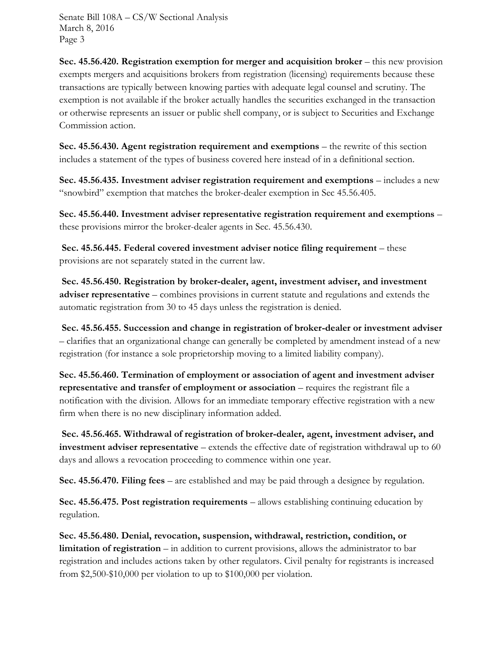**Sec. 45.56.420. Registration exemption for merger and acquisition broker – this new provision** exempts mergers and acquisitions brokers from registration (licensing) requirements because these transactions are typically between knowing parties with adequate legal counsel and scrutiny. The exemption is not available if the broker actually handles the securities exchanged in the transaction or otherwise represents an issuer or public shell company, or is subject to Securities and Exchange Commission action.

**Sec. 45.56.430. Agent registration requirement and exemptions – the rewrite of this section** includes a statement of the types of business covered here instead of in a definitional section.

**Sec. 45.56.435. Investment adviser registration requirement and exemptions** – includes a new "snowbird" exemption that matches the broker-dealer exemption in Sec 45.56.405.

**Sec. 45.56.440. Investment adviser representative registration requirement and exemptions** – these provisions mirror the broker-dealer agents in Sec. 45.56.430.

**Sec. 45.56.445. Federal covered investment adviser notice filing requirement** – these provisions are not separately stated in the current law.

**Sec. 45.56.450. Registration by broker-dealer, agent, investment adviser, and investment adviser representative** – combines provisions in current statute and regulations and extends the automatic registration from 30 to 45 days unless the registration is denied.

**Sec. 45.56.455. Succession and change in registration of broker-dealer or investment adviser**  – clarifies that an organizational change can generally be completed by amendment instead of a new registration (for instance a sole proprietorship moving to a limited liability company).

**Sec. 45.56.460. Termination of employment or association of agent and investment adviser representative and transfer of employment or association** – requires the registrant file a notification with the division. Allows for an immediate temporary effective registration with a new firm when there is no new disciplinary information added.

**Sec. 45.56.465. Withdrawal of registration of broker-dealer, agent, investment adviser, and investment adviser representative** – extends the effective date of registration withdrawal up to 60 days and allows a revocation proceeding to commence within one year.

**Sec. 45.56.470. Filing fees** – are established and may be paid through a designee by regulation.

**Sec. 45.56.475. Post registration requirements** – allows establishing continuing education by regulation.

**Sec. 45.56.480. Denial, revocation, suspension, withdrawal, restriction, condition, or**  limitation of registration – in addition to current provisions, allows the administrator to bar registration and includes actions taken by other regulators. Civil penalty for registrants is increased from \$2,500-\$10,000 per violation to up to \$100,000 per violation.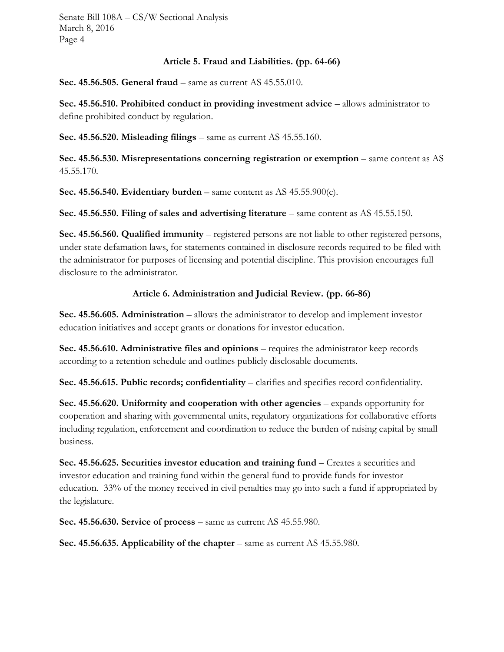#### **Article 5. Fraud and Liabilities. (pp. 64-66)**

**Sec. 45.56.505. General fraud** – same as current AS 45.55.010.

**Sec. 45.56.510. Prohibited conduct in providing investment advice – allows administrator to** define prohibited conduct by regulation.

**Sec. 45.56.520. Misleading filings** – same as current AS 45.55.160.

**Sec. 45.56.530. Misrepresentations concerning registration or exemption – same content as AS** 45.55.170.

**Sec. 45.56.540. Evidentiary burden** – same content as AS 45.55.900(c).

**Sec. 45.56.550. Filing of sales and advertising literature** – same content as AS 45.55.150.

**Sec. 45.56.560. Qualified immunity** – registered persons are not liable to other registered persons, under state defamation laws, for statements contained in disclosure records required to be filed with the administrator for purposes of licensing and potential discipline. This provision encourages full disclosure to the administrator.

#### **Article 6. Administration and Judicial Review. (pp. 66-86)**

**Sec. 45.56.605. Administration** – allows the administrator to develop and implement investor education initiatives and accept grants or donations for investor education.

**Sec. 45.56.610. Administrative files and opinions** – requires the administrator keep records according to a retention schedule and outlines publicly disclosable documents.

**Sec. 45.56.615. Public records; confidentiality** – clarifies and specifies record confidentiality.

**Sec. 45.56.620. Uniformity and cooperation with other agencies** – expands opportunity for cooperation and sharing with governmental units, regulatory organizations for collaborative efforts including regulation, enforcement and coordination to reduce the burden of raising capital by small business.

**Sec. 45.56.625. Securities investor education and training fund** – Creates a securities and investor education and training fund within the general fund to provide funds for investor education. 33% of the money received in civil penalties may go into such a fund if appropriated by the legislature.

**Sec. 45.56.630. Service of process** – same as current AS 45.55.980.

**Sec. 45.56.635. Applicability of the chapter** – same as current AS 45.55.980.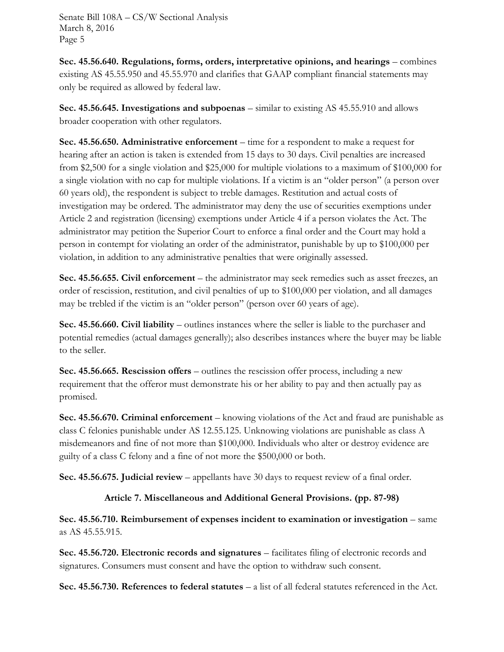**Sec. 45.56.640. Regulations, forms, orders, interpretative opinions, and hearings** – combines existing AS 45.55.950 and 45.55.970 and clarifies that GAAP compliant financial statements may only be required as allowed by federal law.

**Sec. 45.56.645. Investigations and subpoenas** – similar to existing AS 45.55.910 and allows broader cooperation with other regulators.

**Sec. 45.56.650. Administrative enforcement** – time for a respondent to make a request for hearing after an action is taken is extended from 15 days to 30 days. Civil penalties are increased from \$2,500 for a single violation and \$25,000 for multiple violations to a maximum of \$100,000 for a single violation with no cap for multiple violations. If a victim is an "older person" (a person over 60 years old), the respondent is subject to treble damages. Restitution and actual costs of investigation may be ordered. The administrator may deny the use of securities exemptions under Article 2 and registration (licensing) exemptions under Article 4 if a person violates the Act. The administrator may petition the Superior Court to enforce a final order and the Court may hold a person in contempt for violating an order of the administrator, punishable by up to \$100,000 per violation, in addition to any administrative penalties that were originally assessed.

**Sec. 45.56.655. Civil enforcement** – the administrator may seek remedies such as asset freezes, an order of rescission, restitution, and civil penalties of up to \$100,000 per violation, and all damages may be trebled if the victim is an "older person" (person over 60 years of age).

**Sec. 45.56.660. Civil liability** – outlines instances where the seller is liable to the purchaser and potential remedies (actual damages generally); also describes instances where the buyer may be liable to the seller.

**Sec. 45.56.665. Rescission offers** – outlines the rescission offer process, including a new requirement that the offeror must demonstrate his or her ability to pay and then actually pay as promised.

**Sec. 45.56.670. Criminal enforcement** – knowing violations of the Act and fraud are punishable as class C felonies punishable under AS 12.55.125. Unknowing violations are punishable as class A misdemeanors and fine of not more than \$100,000. Individuals who alter or destroy evidence are guilty of a class C felony and a fine of not more the \$500,000 or both.

**Sec. 45.56.675. Judicial review** – appellants have 30 days to request review of a final order.

### **Article 7. Miscellaneous and Additional General Provisions. (pp. 87-98)**

**Sec. 45.56.710. Reimbursement of expenses incident to examination or investigation** – same as AS 45.55.915.

**Sec. 45.56.720. Electronic records and signatures** – facilitates filing of electronic records and signatures. Consumers must consent and have the option to withdraw such consent.

**Sec. 45.56.730. References to federal statutes** – a list of all federal statutes referenced in the Act.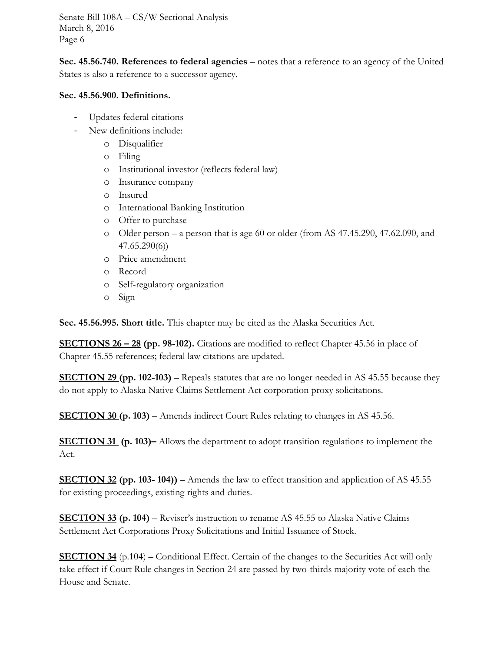**Sec. 45.56.740. References to federal agencies** – notes that a reference to an agency of the United States is also a reference to a successor agency.

#### **Sec. 45.56.900. Definitions.**

- Updates federal citations
- New definitions include:
	- o Disqualifier
	- o Filing
	- o Institutional investor (reflects federal law)
	- o Insurance company
	- o Insured
	- o International Banking Institution
	- o Offer to purchase
	- o Older person a person that is age 60 or older (from AS 47.45.290, 47.62.090, and 47.65.290(6))
	- o Price amendment
	- o Record
	- o Self-regulatory organization
	- o Sign

**Sec. 45.56.995. Short title.** This chapter may be cited as the Alaska Securities Act.

**SECTIONS 26 – 28 (pp. 98-102).** Citations are modified to reflect Chapter 45.56 in place of Chapter 45.55 references; federal law citations are updated.

**SECTION 29 (pp. 102-103)** – Repeals statutes that are no longer needed in AS 45.55 because they do not apply to Alaska Native Claims Settlement Act corporation proxy solicitations.

**SECTION 30 (p. 103)** – Amends indirect Court Rules relating to changes in AS 45.56.

**SECTION 31 (p. 103)–** Allows the department to adopt transition regulations to implement the Act.

**SECTION 32 (pp. 103- 104))** – Amends the law to effect transition and application of AS 45.55 for existing proceedings, existing rights and duties.

**SECTION 33 (p. 104)** – Reviser's instruction to rename AS 45.55 to Alaska Native Claims Settlement Act Corporations Proxy Solicitations and Initial Issuance of Stock.

**SECTION 34** (p.104) – Conditional Effect. Certain of the changes to the Securities Act will only take effect if Court Rule changes in Section 24 are passed by two-thirds majority vote of each the House and Senate.